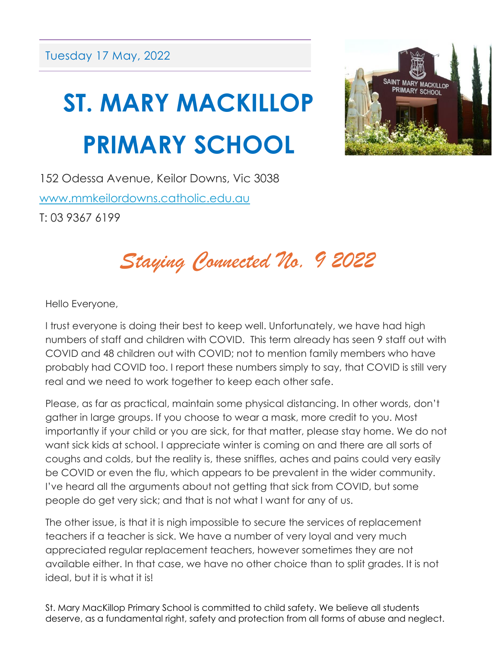## **ST. MARY MACKILLOP PRIMARY SCHOOL**



152 Odessa Avenue, Keilor Downs, Vic 3038 [www.mmkeilordowns.catholic.edu.au](http://www.mmkeilordowns.catholic.edu.au/) T: 03 9367 6199

*Staying Connected No. 9 2022*

Hello Everyone,

I trust everyone is doing their best to keep well. Unfortunately, we have had high numbers of staff and children with COVID. This term already has seen 9 staff out with COVID and 48 children out with COVID; not to mention family members who have probably had COVID too. I report these numbers simply to say, that COVID is still very real and we need to work together to keep each other safe.

Please, as far as practical, maintain some physical distancing. In other words, don't gather in large groups. If you choose to wear a mask, more credit to you. Most importantly if your child or you are sick, for that matter, please stay home. We do not want sick kids at school. I appreciate winter is coming on and there are all sorts of coughs and colds, but the reality is, these sniffles, aches and pains could very easily be COVID or even the flu, which appears to be prevalent in the wider community. I've heard all the arguments about not getting that sick from COVID, but some people do get very sick; and that is not what I want for any of us.

The other issue, is that it is nigh impossible to secure the services of replacement teachers if a teacher is sick. We have a number of very loyal and very much appreciated regular replacement teachers, however sometimes they are not available either. In that case, we have no other choice than to split grades. It is not ideal, but it is what it is!

St. Mary MacKillop Primary School is committed to child safety. We believe all students deserve, as a fundamental right, safety and protection from all forms of abuse and neglect.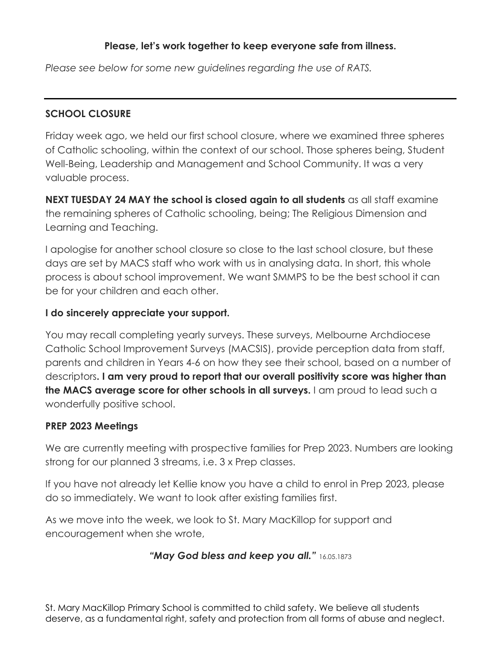#### **Please, let's work together to keep everyone safe from illness.**

*Please see below for some new guidelines regarding the use of RATS.*

#### **SCHOOL CLOSURE**

Friday week ago, we held our first school closure, where we examined three spheres of Catholic schooling, within the context of our school. Those spheres being, Student Well-Being, Leadership and Management and School Community. It was a very valuable process.

**NEXT TUESDAY 24 MAY the school is closed again to all students** as all staff examine the remaining spheres of Catholic schooling, being; The Religious Dimension and Learning and Teaching.

I apologise for another school closure so close to the last school closure, but these days are set by MACS staff who work with us in analysing data. In short, this whole process is about school improvement. We want SMMPS to be the best school it can be for your children and each other.

#### **I do sincerely appreciate your support.**

You may recall completing yearly surveys. These surveys, Melbourne Archdiocese Catholic School Improvement Surveys (MACSIS), provide perception data from staff, parents and children in Years 4-6 on how they see their school, based on a number of descriptors**. I am very proud to report that our overall positivity score was higher than the MACS average score for other schools in all surveys.** I am proud to lead such a wonderfully positive school.

#### **PREP 2023 Meetings**

We are currently meeting with prospective families for Prep 2023. Numbers are looking strong for our planned 3 streams, i.e. 3 x Prep classes.

If you have not already let Kellie know you have a child to enrol in Prep 2023, please do so immediately. We want to look after existing families first.

As we move into the week, we look to St. Mary MacKillop for support and encouragement when she wrote,

#### *"May God bless and keep you all."* 16.05.1873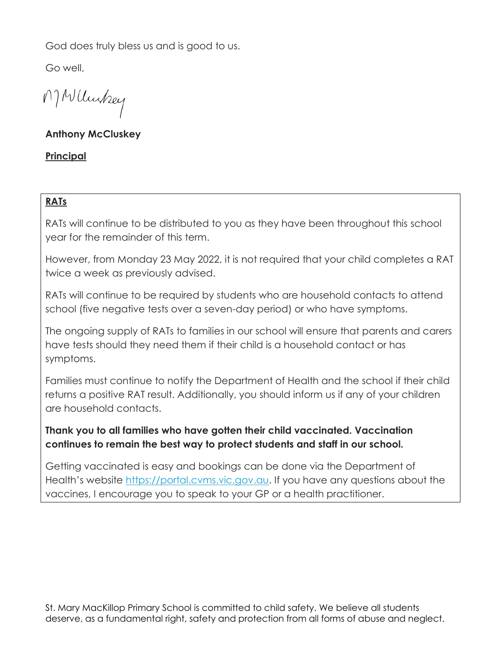God does truly bless us and is good to us.

Go well,

MWUnkey

#### **Anthony McCluskey**

#### **Principal**

#### **RATs**

RATs will continue to be distributed to you as they have been throughout this school year for the remainder of this term.

However, from Monday 23 May 2022, it is not required that your child completes a RAT twice a week as previously advised.

RATs will continue to be required by students who are household contacts to attend school (five negative tests over a seven-day period) or who have symptoms.

The ongoing supply of RATs to families in our school will ensure that parents and carers have tests should they need them if their child is a household contact or has symptoms.

Families must continue to notify the Department of Health and the school if their child returns a positive RAT result. Additionally, you should inform us if any of your children are household contacts.

#### **Thank you to all families who have gotten their child vaccinated. Vaccination continues to remain the best way to protect students and staff in our school.**

Getting vaccinated is easy and bookings can be done via the Department of Health's website [https://portal.cvms.vic.gov.au.](https://portal.cvms.vic.gov.au/) If you have any questions about the vaccines, I encourage you to speak to your GP or a health practitioner.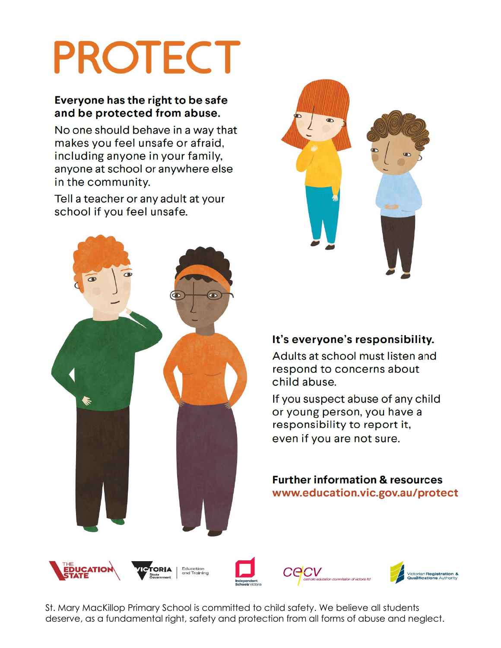# **PROTECT**

#### Everyone has the right to be safe and be protected from abuse.

No one should behave in a way that makes you feel unsafe or afraid, including anyone in your family, anyone at school or anywhere else in the community.

Tell a teacher or any adult at your school if you feel unsafe.





#### It's everyone's responsibility.

Adults at school must listen and respond to concerns about child abuse.

If you suspect abuse of any child or young person, you have a responsibility to report it, even if you are not sure.

**Further information & resources** www.education.vic.gov.au/protect



St. Mary MacKillop Primary School is committed to child safety. We believe all students deserve, as a fundamental right, safety and protection from all forms of abuse and neglect.